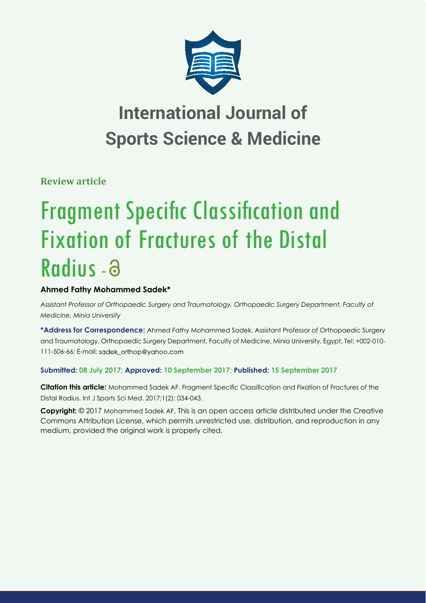

**Review article**

# **Fragment Specific Classification and** Fixation of Fractures of the Distal Radius - a

# **Ahmed Fathy Mohammed Sadek\***

*Assistant Professor of Orthopaedic Surgery and Traumatology, Orthopaedic Surgery Department, Faculty of Medicine, Minia University*

**\*Address for Correspondence:** Ahmed Fathy Mohammed Sadek, Assistant Professor of Orthopaedic Surgery and Traumatology, Orthopaedic Surgery Department, Faculty of Medicine, Minia University, Egypt, Tel: +002-010- 111-506-66; E-mail: sadek\_orthop@yahoo.com

# **Submitted: 08 July 2017; Approved: 10 September 2017; Published: 15 September 2017**

**Citation this article:** Mohammed Sadek AF. Fragment Specific Classification and Fixation of Fractures of the Distal Radius. Int J Sports Sci Med. 2017;1(2): 034-043.

**Copyright:** © 2017 Mohammed Sadek AF. This is an open access article distributed under the Creative Commons Attribution License, which permits unrestricted use, distribution, and reproduction in any medium, provided the original work is properly cited.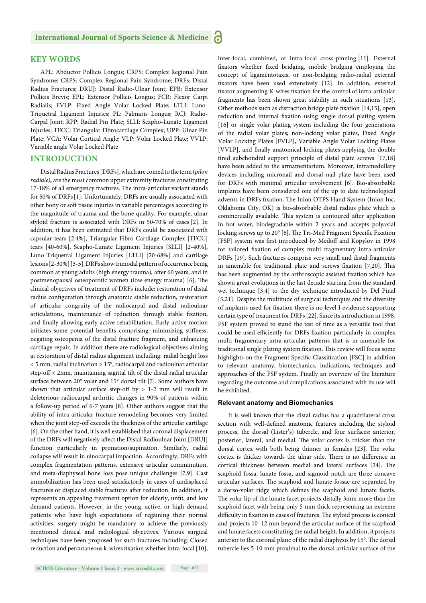# **KEY WORDS**

APL: Abductor Pollicis Longus; CRPS: Complex Regional Pain Syndrome; CRPS: Complex Regional Pain Syndrome; DRFs: Distal Radius Fractures; DRUJ: Distal Radio-Ulnar Joint; EPB: Extensor Pollicis Brevis; EPL: Extensor Pollicis Longus; FCR: Flexor Carpi Radialis; FVLP: Fixed Angle Volar Locked Plate; LTLI: Luno-Triquetral Ligament Injuries; PL: Palmaris Longus; RCJ: Radio-Carpal Joint; RPP: Radial Pin Plate; SLLI: Scapho-Lunate Ligament Injuries; TFCC: Triangular Fibrocartilage Complex; UPP: Ulnar Pin Plate; VCA: Volar Cortical Angle; VLP: Volar Locked Plate; VVLP: Variable angle Volar Locked Plate

#### **INTRODUCTION**

Distal Radius Fractures [DRFs], which are coined to the term (*pilon radiale),* are the most common upper extremity fractures constituting 17-18% of all emergency fractures. The intra-articular variant stands for 50% of DRFs[1]. Unfortunately, DRFs are usually associated with other bony or soft tissue injuries in variable percentages according to the magnitude of trauma and the bone quality. For example, ulnar styloid fracture is associated with DRFs in 50-70% of cases [2]. In addition, it has been estimated that DRFs could be associated with capsular tears [2.4%], Triangular Fibro Cartilage Complex [TFCC] tears [40-60%], Scapho-Lunate Ligament Injuries [SLLI] [2-40%], Luno-Triquetral Ligament Injuries [LTLI] [20-68%] and cartilage lesions [2-30%] [3-5]. DRFs show trimodal pattern of occurrence being common at young adults (high energy trauma), after 60 years, and in postmenopausal osteoporotic women (low energy trauma) [6]. The clinical objectives of treatment of DRFs include: restoration of distal radius configuration through anatomic stable reduction, restoration of articular congruity of the radiocarpal and distal radioulnar articulations, maintenance of reduction through stable fixation, and finally allowing early active rehabilitation. Early active motion initiates some potential benefits comprising: minimizing stiffness, negating osteopenia of the distal fracture fragment, and enhancing cartilage repair. In addition there are radiological objectives aiming at restoration of distal radius alignment including: radial height loss  $<$  5 mm, radial inclination  $>$  15°, radiocarpal and radioulnar articular step-off < 2mm, maintaining sagittal tilt of the distal radial articular surface between 20° volar and 15° dorsal tilt [7]. Some authors have shown that articular surface step-off by  $> 1-2$  mm will result in deleterious radiocarpal arthritic changes in 90% of patients within a follow-up period of 6-7 years [8]. Other authors suggest that the ability of intra-articular fracture remodeling becomes very limited when the joint step-off exceeds the thickness of the articular cartilage [6]. On the other hand, it is well established that coronal displacement of the DRFs will negatively affect the Distal Radioulnar Joint [DRUJ] function particularly in pronation/supination. Similarly, radial collapse will result in ulnocarpal impaction. Accordingly, DRFs with complex fragmentation patterns, extensive articular comminution, and meta-diaphyseal bone loss pose unique challenges [7,9]. Cast immobilization has been used satisfactorily in cases of undisplaced fractures or displaced stable fractures after reduction. In addition, it represents an appealing treatment option for elderly, unfit, and low demand patients. However, in the young, active, or high demand patients who have high expectations of regaining their normal activities, surgery might be mandatory to achieve the previously mentioned clinical and radiological objectives. Various surgical techniques have been proposed for such fractures including: Closed reduction and percutaneous k-wires fixation whether intra-focal [10], fixators whether fixed bridging, mobile bridging employing the concept of ligamentotaxis, or non-bridging radio-radial external fixators have been used extensively [12]. In addition, external fixator augmenting K-wires fixation for the control of intra-articular fragments has been shown great stability in such situations [13]. Other methods such as distraction bridge plate fixation [14,15], open reduction and internal fixation using single dorsal plating system [16] or single volar plating system including the four generations of the radial volar plates; non-locking volar plates, Fixed Angle Volar Locking Plates [FVLP], Variable Angle Volar Locking Plates [VVLP], and finally anatomical locking plates applying the double tired subchondral support principle of distal plate screws [17,18] have been added to the armamentarium. Moreover, intramedullary devices including micronail and dorsal nail plate have been used for DRFs with minimal articular involvement [6]. Bio-absorbable implants have been considered one of the up to date technological advents in DRFs fixation. The Inion OTPS Hand System (Inion Inc, Oklahoma City, OK) is bio-absorbable distal radius plate which is commercially available. This system is contoured after application in hot water, biodegradable within 2 years and accepts polyaxial locking screws up to 20° [6]. The Tri-Med Fragment Specific Fixation [FSF] system was first introduced by Medoff and Kopylov in 1998 for tailored fixation of complex multi fragmentary intra-articular DRFs [19]. Such fractures comprise very small and distal fragments in amenable for traditional plate and screws fixation [7,20]. This has been augmented by the arthroscopic assisted fixation which has shown great evolutions in the last decade starting from the standard wet technique [3,4] to the dry technique introduced by Del Pinal [5,21]. Despite the multitude of surgical techniques and the diversity of implants used for fixation there is no level I evidence supporting certain type of treatment for DRFs [22]. Since its introduction in 1998, FSF system proved to stand the test of time as a versatile tool that could be used efficiently for DRFs fixation particularly in complex multi fragmentary intra-articular patterns that is in amenable for traditional single plating system fixation. This review will focus some highlights on the Fragment Specific Classification [FSC] in addition to relevant anatomy, biomechanics, indications, techniques and approaches of the FSF system. Finally an overview of the literature regarding the outcome and complications associated with its use will be exhibited.

inter-focal, combined, or intra-focal cross-pinning [11]. External

#### **Relevant anatomy and Biomechanics**

It is well known that the distal radius has a quadrilateral cross section with well-defined anatomic features including the styloid process, the dorsal (Lister's) tubercle, and four surfaces: anterior, posterior, lateral, and medial. The volar cortex is thicker than the dorsal cortex with both being thinner in females [23]. The volar cortex is thicker towards the ulnar side. There is no difference in cortical thickness between medial and lateral surfaces [24]. The scaphoid fossa, lunate fossa, and sigmoid notch are three concave articular surfaces. The scaphoid and lunate fossae are separated by a dorso-volar ridge which defines the scaphoid and lunate facets. The volar lip of the lunate facet projects distally 3mm more than the scaphoid facet with being only 5 mm thick representing an extreme difficulty in fixation in cases of fractures. The styloid process is conical and projects 10–12 mm beyond the articular surface of the scaphoid and lunate facets constituting the radial height**.** In addition, it projects anterior to the coronal plane of the radial diaphysis by 15°. The dorsal tubercle lies 5-10 mm proximal to the dorsal articular surface of the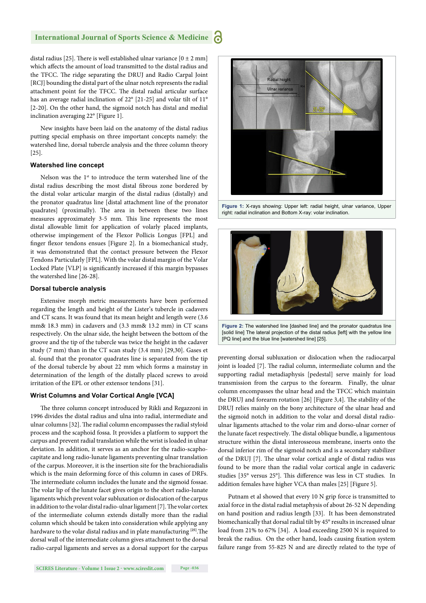distal radius [25]. There is well established ulnar variance  $[0 \pm 2$  mm] which affects the amount of load transmitted to the distal radius and the TFCC. The ridge separating the DRUJ and Radio Carpal Joint [RCJ] bounding the distal part of the ulnar notch represents the radial attachment point for the TFCC. The distal radial articular surface has an average radial inclination of 22° [21-25] and volar tilt of 11° [2-20]. On the other hand, the sigmoid notch has distal and medial inclination averaging 22° [Figure 1].

New insights have been laid on the anatomy of the distal radius putting special emphasis on three important concepts namely: the watershed line, dorsal tubercle analysis and the three column theory [25].

#### **Watershed line concept**

Nelson was the 1<sup>st</sup> to introduce the term watershed line of the distal radius describing the most distal fibrous zone bordered by the distal volar articular margin of the distal radius (distally) and the pronator quadratus line [distal attachment line of the pronator quadrates] (proximally). The area in between these two lines measures approximately 3-5 mm. This line represents the most distal allowable limit for application of volarly placed implants, otherwise impingement of the Flexor Pollicis Longus [FPL] and finger flexor tendons ensues [Figure 2]. In a biomechanical study, it was demonstrated that the contact pressure between the Flexor Tendons Particularly [FPL]. With the volar distal margin of the Volar Locked Plate [VLP] is significantly increased if this margin bypasses the watershed line [26-28].

#### **Dorsal tubercle analysis**

Extensive morph metric measurements have been performed regarding the length and height of the Lister's tubercle in cadavers and CT scans. It was found that its mean height and length were (3.6 mm& 18.3 mm) in cadavers and (3.3 mm& 13.2 mm) in CT scans respectively. On the ulnar side, the height between the bottom of the groove and the tip of the tubercle was twice the height in the cadaver study (7 mm) than in the CT scan study (3.4 mm) [29,30]. Gases et al. found that the pronator quadrates line is separated from the tip of the dorsal tubercle by about 22 mm which forms a mainstay in determination of the length of the distally placed screws to avoid irritation of the EPL or other extensor tendons [31].

#### **Wrist Columns and Volar Cortical Angle [VCA]**

The three column concept introduced by Rikli and Regazzoni in 1996 divides the distal radius and ulna into radial, intermediate and ulnar columns [32]. The radial column encompasses the radial styloid process and the scaphoid fossa. It provides a platform to support the carpus and prevent radial translation while the wrist is loaded in ulnar deviation. In addition, it serves as an anchor for the radio-scaphocapitate and long radio-lunate ligaments preventing ulnar translation of the carpus. Moreover, it is the insertion site for the brachioradialis which is the main deforming force of this column in cases of DRFs. The intermediate column includes the lunate and the sigmoid fossae. The volar lip of the lunate facet gives origin to the short radio-lunate ligaments which prevent volar subluxation or dislocation of the carpus in addition to the volar distal radio-ulnar ligament [7]. The volar cortex of the intermediate column extends distally more than the radial column which should be taken into consideration while applying any hardware to the volar distal radius and in plate manufacturing <sup>[25]</sup>. The dorsal wall of the intermediate column gives attachment to the dorsal radio-carpal ligaments and serves as a dorsal support for the carpus



**Figure 1:** X-rays showing: Upper left: radial height, ulnar variance, Upper right: radial inclination and Bottom X-ray: volar inclination.



preventing dorsal subluxation or dislocation when the radiocarpal joint is loaded [7]. The radial column, intermediate column and the supporting radial metadiaphysis [pedestal] serve mainly for load transmission from the carpus to the forearm. Finally, the ulnar column encompasses the ulnar head and the TFCC which maintain the DRUJ and forearm rotation  $[26]$  [Figure 3,4]. The stability of the DRUJ relies mainly on the bony architecture of the ulnar head and the sigmoid notch in addition to the volar and dorsal distal radioulnar ligaments attached to the volar rim and dorso-ulnar corner of the lunate facet respectively. The distal oblique bundle, a ligamentous structure within the distal interosseous membrane, inserts onto the dorsal inferior rim of the sigmoid notch and is a secondary stabilizer of the DRUJ [7]. The ulnar volar cortical angle of distal radius was found to be more than the radial volar cortical angle in cadaveric studies [35° versus 25°]. This difference was less in CT studies. In addition females have higher VCA than males [25] [Figure 5].

Putnam et al showed that every 10 N grip force is transmitted to axial force in the distal radial metaphysis of about 26-52 N depending on hand position and radius length [33]. It has been demonstrated biomechanically that dorsal radial tilt by 45° results in increased ulnar load from 21% to 67% [34]. A load exceeding 2500 N is required to break the radius. On the other hand, loads causing fixation system failure range from 55-825 N and are directly related to the type of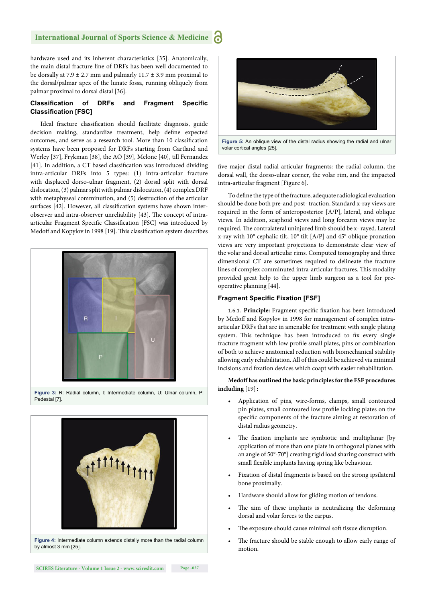hardware used and its inherent characteristics [35]. Anatomically, the main distal fracture line of DRFs has been well documented to be dorsally at 7.9  $\pm$  2.7 mm and palmarly 11.7  $\pm$  3.9 mm proximal to the dorsal/palmar apex of the lunate fossa, running obliquely from palmar proximal to dorsal distal [36].

#### **Classification of DRFs and Fragment Specific Classification [FSC]**

Ideal fracture classification should facilitate diagnosis, guide decision making, standardize treatment, help define expected outcomes, and serve as a research tool. More than 10 classification systems have been proposed for DRFs starting from Gartland and Werley [37], Frykman [38], the AO [39], Melone [40], till Fernandez [41]. In addition, a CT based classification was introduced dividing intra-articular DRFs into 5 types: (1) intra-articular fracture with displaced dorso-ulnar fragment, (2) dorsal split with dorsal dislocation, (3) palmar split with palmar dislocation, (4) complex DRF with metaphyseal comminution, and (5) destruction of the articular surfaces [42]. However, all classification systems have shown interobserver and intra-observer unreliability [43]. The concept of intraarticular Fragment Specific Classification [FSC] was introduced by Medoff and Kopylov in 1998 [19]. This classification system describes





**Figure 4:** Intermediate column extends distally more than the radial column by almost 3 mm [25].



volar cortical angles [25].

five major distal radial articular fragments: the radial column, the dorsal wall, the dorso-ulnar corner, the volar rim, and the impacted intra-articular fragment [Figure 6].

To define the type of the fracture, adequate radiological evaluation should be done both pre-and post- traction. Standard x-ray views are required in the form of anteroposterior [A/P], lateral, and oblique views. In addition, scaphoid views and long forearm views may be required. The contralateral uninjured limb should be x- rayed. Lateral x-ray with 10° cephalic tilt, 10° tilt [A/P] and 45° oblique pronation views are very important projections to demonstrate clear view of the volar and dorsal articular rims. Computed tomography and three dimensional CT are sometimes required to delineate the fracture lines of complex comminuted intra-articular fractures. This modality provided great help to the upper limb surgeon as a tool for preoperative planning [44].

#### **Fragment Specific Fixation [FSF]**

1.6.1. Principle: Fragment specific fixation has been introduced by Medoff and Kopylov in 1998 for management of complex intraarticular DRFs that are in amenable for treatment with single plating system. This technique has been introduced to fix every single fracture fragment with low profile small plates, pins or combination of both to achieve anatomical reduction with biomechanical stability allowing early rehabilitation. All of this could be achieved via minimal incisions and fixation devices which coapt with easier rehabilitation.

**Medoff has outlined the basic principles for the FSF procedures including** [19]**:**

- Application of pins, wire-forms, clamps, small contoured pin plates, small contoured low profile locking plates on the specific components of the fracture aiming at restoration of distal radius geometry.
- The fixation implants are symbiotic and multiplanar [by application of more than one plate in orthogonal planes with an angle of 50°-70°] creating rigid load sharing construct with small flexible implants having spring like behaviour.
- Fixation of distal fragments is based on the strong ipsilateral bone proximally.
- Hardware should allow for gliding motion of tendons.
- The aim of these implants is neutralizing the deforming dorsal and volar forces to the carpus.
- The exposure should cause minimal soft tissue disruption.
- The fracture should be stable enough to allow early range of motion.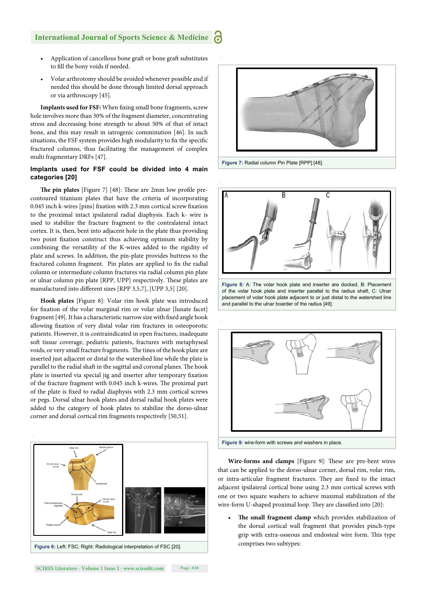- Application of cancellous bone graft or bone graft substitutes to fill the bony voids if needed.
- Volar arthrotomy should be avoided whenever possible and if needed this should be done through limited dorsal approach or via arthroscopy [45].

**Implants used for FSF:** When fixing small bone fragments, screw hole involves more than 30% of the fragment diameter, concentrating stress and decreasing bone strength to about 50% of that of intact bone, and this may result in iatrogenic comminution [46]. In such situations, the FSF system provides high modularity to fix the specific fractured columns, thus facilitating the management of complex multi fragmentary DRFs [47].

## **Implants used for FSF could be divided into 4 main categories [20]**

**The pin plates** [Figure 7] [48]: These are 2mm low profile precontoured titanium plates that have the criteria of incorporating 0.045 inch k-wires [pins] fixation with 2.3 mm cortical screw fixation to the proximal intact ipsilateral radial diaphysis. Each k- wire is used to stabilize the fracture fragment to the contralateral intact cortex. It is, then, bent into adjacent hole in the plate thus providing two point fixation construct thus achieving optimum stability by combining the versatility of the K-wires added to the rigidity of plate and screws. In addition, the pin-plate provides buttress to the fractured column fragment. Pin plates are applied to fix the radial column or intermediate column fractures via radial column pin plate or ulnar column pin plate [RPP, UPP] respectively. These plates are manufactured into different sizes [RPP 3,5,7], [UPP 3,5] [20].

**Hook plates** [Figure 8]: Volar rim hook plate was introduced for fixation of the volar marginal rim or volar ulnar [lunate facet] fragment [49]. It has a characteristic narrow size with fixed angle hook allowing fixation of very distal volar rim fractures in osteoporotic patients. However, it is contraindicated in open fractures, inadequate soft tissue coverage, pediatric patients, fractures with metaphyseal voids, or very small fracture fragments. The tines of the hook plate are inserted just adjacent or distal to the watershed line while the plate is parallel to the radial shaft in the sagittal and coronal planes. The hook plate is inserted via special jig and inserter after temporary fixation of the fracture fragment with 0.045 inch k-wires. The proximal part of the plate is fixed to radial diaphysis with 2.3 mm cortical screws or pegs. Dorsal ulnar hook plates and dorsal radial hook plates were added to the category of hook plates to stabilize the dorso-ulnar corner and dorsal cortical rim fragments respectively [50,51].







**Figure 8:** A: The volar hook plate and inserter are docked, B: Placement of the volar hook plate and inserter parallel to the radius shaft, C: Ulnar placement of volar hook plate adjacent to or just distal to the watershed line and parallel to the ulnar boarder of the radius [49].



**Wire-forms and clamps** [Figure 9]: These are pre-bent wires that can be applied to the dorso-ulnar corner, dorsal rim, volar rim, or intra-articular fragment fractures. They are fixed to the intact adjacent ipsilateral cortical bone using 2.3 mm cortical screws with one or two square washers to achieve maximal stabilization of the wire-form U-shaped proximal loop. They are classified into [20]:

The small fragment clamp which provides stabilization of the dorsal cortical wall fragment that provides pinch-type grip with extra-osseous and endosteal wire form. This type comprises two subtypes: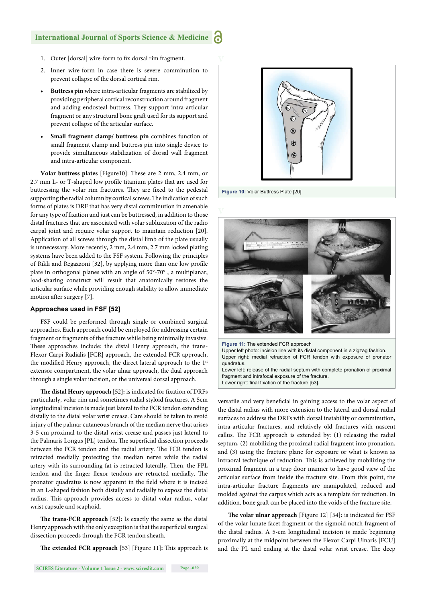- 1. Outer [dorsal] wire-form to fix dorsal rim fragment.
- 2. Inner wire-form in case there is severe comminution to prevent collapse of the dorsal cortical rim.
- **Buttress pin** where intra-articular fragments are stabilized by providing peripheral cortical reconstruction around fragment and adding endosteal buttress. They support intra-articular fragment or any structural bone graft used for its support and prevent collapse of the articular surface.
- **Small fragment clamp/ buttress pin** combines function of small fragment clamp and buttress pin into single device to provide simultaneous stabilization of dorsal wall fragment and intra-articular component.

**Volar buttress plates** [Figure10]: These are 2 mm, 2.4 mm, or 2.7 mm L- or T-shaped low profile titanium plates that are used for buttressing the volar rim fractures. They are fixed to the pedestal supporting the radial column by cortical screws. The indication of such forms of plates is DRF that has very distal comminution in amenable for any type of fixation and just can be buttressed, in addition to those distal fractures that are associated with volar subluxation of the radio carpal joint and require volar support to maintain reduction [20]. Application of all screws through the distal limb of the plate usually is unnecessary. More recently, 2 mm, 2.4 mm, 2.7 mm locked plating systems have been added to the FSF system. Following the principles of Rikli and Regazzoni [32], by applying more than one low profile plate in orthogonal planes with an angle of 50°-70° , a multiplanar, load-sharing construct will result that anatomically restores the articular surface while providing enough stability to allow immediate motion after surgery [7].

#### **Approaches used in FSF [52]**

FSF could be performed through single or combined surgical approaches. Each approach could be employed for addressing certain fragment or fragments of the fracture while being minimally invasive. These approaches include: the distal Henry approach, the trans-Flexor Carpi Radialis [FCR] approach, the extended FCR approach, the modified Henry approach, the direct lateral approach to the 1st extensor compartment, the volar ulnar approach, the dual approach through a single volar incision, or the universal dorsal approach.

The distal Henry approach [52]: is indicated for fixation of DRFs particularly, volar rim and sometimes radial styloid fractures. A 5cm longitudinal incision is made just lateral to the FCR tendon extending distally to the distal volar wrist crease. Care should be taken to avoid injury of the palmar cutaneous branch of the median nerve that arises 3-5 cm proximal to the distal wrist crease and passes just lateral to the Palmaris Longus [PL] tendon. The superficial dissection proceeds between the FCR tendon and the radial artery. The FCR tendon is retracted medially protecting the median nerve while the radial artery with its surrounding fat is retracted laterally. Then, the FPL tendon and the finger flexor tendons are retracted medially. The pronator quadratus is now apparent in the field where it is incised in an L-shaped fashion both distally and radially to expose the distal radius. This approach provides access to distal volar radius, volar wrist capsule and scaphoid.

The trans-FCR approach [52]: Is exactly the same as the distal Henry approach with the only exception is that the superficial surgical dissection proceeds through the FCR tendon sheath.

**The extended FCR approach** [53] [Figure 11]: This approach is





**Figure 11:** The extended FCR approach Upper left photo: incision line with its distal component in a zigzag fashion. Upper right: medial retraction of FCR tendon with exposure of pronator quadratus.

Lower left: release of the radial septum with complete pronation of proximal fragment and intrafocal exposure of the fracture. Lower right: final fixation of the fracture [53].

versatile and very beneficial in gaining access to the volar aspect of the distal radius with more extension to the lateral and dorsal radial surfaces to address the DRFs with dorsal instability or comminution, intra-articular fractures, and relatively old fractures with nascent callus. The FCR approach is extended by: (1) releasing the radial septum, (2) mobilizing the proximal radial fragment into pronation, and (3) using the fracture plane for exposure or what is known as intraoral technique of reduction. This is achieved by mobilizing the proximal fragment in a trap door manner to have good view of the articular surface from inside the fracture site. From this point, the intra-articular fracture fragments are manipulated, reduced and molded against the carpus which acts as a template for reduction. In addition, bone graft can be placed into the voids of the fracture site.

**The volar ulnar approach** [Figure 12] [54]: is indicated for FSF of the volar lunate facet fragment or the sigmoid notch fragment of the distal radius. A 5-cm longitudinal incision is made beginning proximally at the midpoint between the Flexor Carpi Ulnaris [FCU] and the PL and ending at the distal volar wrist crease. The deep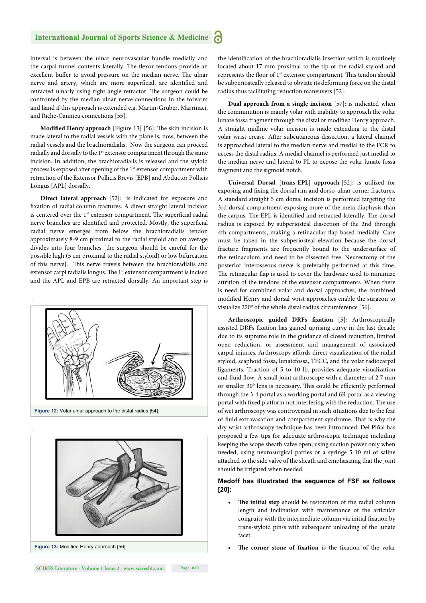interval is between the ulnar neurovascular bundle medially and the carpal tunnel contents laterally. The flexor tendons provide an excellent buffer to avoid pressure on the median nerve. The ulnar nerve and artery, which are more superficial, are identified and retracted ulnarly using right-angle retractor. The surgeon could be confronted by the median-ulnar nerve connections in the forearm and hand if this approach is extended e.g. Martin-Gruber, Marrinaci, and Riche-Cannieu connections [55].

**Modified Henry approach** [Figure 13] [56]: The skin incision is made lateral to the radial vessels with the plane is, now, between the radial vessels and the brachioradialis. Now the surgeon can proceed radially and dorsally to the 1<sup>st</sup> extensor compartment through the same incision. In addition, the brachioradialis is released and the styloid process is exposed after opening of the 1<sup>st</sup> extensor compartment with retraction of the Extensor Pollicis Brevis [EPB] and Abductor Pollicis Longus [APL] dorsally.

**Direct lateral approach** [52]: is indicated for exposure and fixation of radial column fractures. A direct straight lateral incision is centered over the  $1<sup>st</sup>$  extensor compartment. The superficial radial nerve branches are identified and protected. Mostly, the superficial radial nerve emerges from below the brachioradialis tendon approximately 8-9 cm proximal to the radial styloid and on average divides into four branches [the surgeon should be careful for the possible high (5 cm proximal to the radial styloid) or low bifurcation of this nerve]. This nerve travels between the brachioradialis and extensor carpi radialis longus. The 1<sup>st</sup> extensor compartment is incised and the APL and EPB are retracted dorsally. An important step is



**Figure 12:** Volar ulnar approach to the distal radius [54].



the identification of the brachioradialis insertion which is routinely located about 17 mm proximal to the tip of the radial styloid and represents the floor of 1<sup>st</sup> extensor compartment. This tendon should be subperiosteally released to obviate its deforming force on the distal radius thus facilitating reduction maneuvers [52].

**Dual approach from a single incision** [57]: is indicated when the comminution is mainly volar with inability to approach the volar lunate fossa fragment through the distal or modified Henry approach. A straight midline volar incision is made extending to the distal volar wrist crease. After subcutaneous dissection, a lateral channel is approached lateral to the median nerve and medial to the FCR to access the distal radius. A medial channel is performed just medial to the median nerve and lateral to PL to expose the volar lunate fossa fragment and the sigmoid notch.

**Universal Dorsal [trans-EPL] approach** [52]: is utilized for exposing and fixing the dorsal rim and dorso-ulnar corner fractures. A standard straight 5 cm dorsal incision is performed targeting the 3rd dorsal compartment exposing more of the meta-diaphysis than the carpus. The EPL is identified and retracted laterally. The dorsal radius is exposed by subperiosteal dissection of the 2nd through 4th compartments, making a retinacular flap based medially. Care must be taken in the subperiosteal elevation because the dorsal fracture fragments are frequently bound to the undersurface of the retinaculum and need to be dissected free. Neurectomy of the posterior interosseous nerve is preferably performed at this time. The retinacular flap is used to cover the hardware used to minimize attrition of the tendons of the extensor compartments. When there is need for combined volar and dorsal approaches, the combined modified Henry and dorsal wrist approaches enable the surgeon to visualize 270° of the whole distal radius circumference [56].

**Arthroscopic guided DRFs fixation** [5]: Arthroscopically assisted DRFs fixation has gained uprising curve in the last decade due to its supreme role in the guidance of closed reduction, limited open reduction, or assessment and management of associated carpal injuries. Arthroscopy affords direct visualization of the radial styloid, scaphoid fossa, lunatefossa, TFCC, and the volar radiocarpal ligaments. Traction of 5 to 10 lb. provides adequate visualization and fluid flow. A small joint arthroscope with a diameter of 2.7 mm or smaller 30° lens is necessary. This could be efficiently performed through the 3-4 portal as a working portal and 6R portal as a viewing portal with fixed platform not interfering with the reduction. The use of wet arthroscopy was controversial in such situations due to the fear of fluid extravasation and compartment syndrome. That is why the dry wrist arthroscopy technique has been introduced. Del Piñal has proposed a few tips for adequate arthroscopic technique including keeping the scope sheath valve open, using suction power only when needed, using neurosurgical patties or a syringe 5-10 ml of saline attached to the side valve of the sheath and emphasizing that the joint should be irrigated when needed.

### **Medoff has illustrated the sequence of FSF as follows [20]:**

- The initial step should be restoration of the radial column length and inclination with maintenance of the articular congruity with the intermediate column via initial fixation by trans-styloid pin/s with subsequent unloading of the lunate facet.
- **The corner stone of fixation** is the fixation of the volar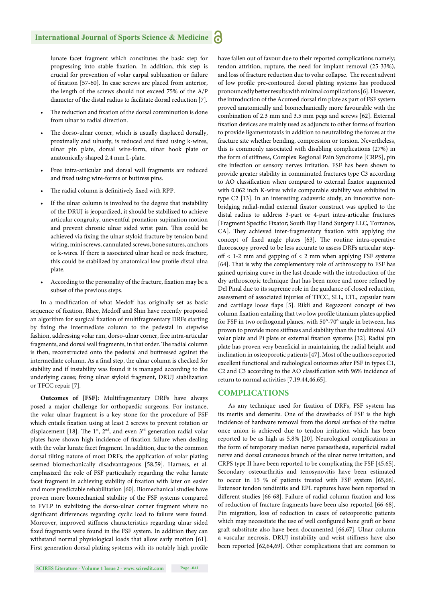lunate facet fragment which constitutes the basic step for progressing into stable fixation. In addition, this step is crucial for prevention of volar carpal subluxation or failure of fixation [57-60]. In case screws are placed from anterior, the length of the screws should not exceed 75% of the A/P diameter of the distal radius to facilitate dorsal reduction [7].

- The reduction and fixation of the dorsal comminution is done from ulnar to radial direction.
- The dorso-ulnar corner, which is usually displaced dorsally, proximally and ulnarly, is reduced and fixed using k-wires, ulnar pin plate, dorsal wire-form, ulnar hook plate or anatomically shaped 2.4 mm L-plate.
- Free intra-articular and dorsal wall fragments are reduced and fixed using wire-forms or buttress pins.
- The radial column is definitively fixed with RPP.
- If the ulnar column is involved to the degree that instability of the DRUJ is jeopardized, it should be stabilized to achieve articular congruity, uneventful pronation-supination motion and prevent chronic ulnar sided wrist pain. This could be achieved via fixing the ulnar styloid fracture by tension band wiring, mini screws, cannulated screws, bone sutures, anchors or k-wires. If there is associated ulnar head or neck fracture, this could be stabilized by anatomical low profile distal ulna plate.
- According to the personality of the fracture, fixation may be a subset of the previous steps.

In a modification of what Medoff has originally set as basic sequence of fixation, Rhee, Medoff and Shin have recently proposed an algorithm for surgical fixation of multifragmentary DRFs starting by fixing the intermediate column to the pedestal in stepwise fashion, addressing volar rim, dorso-ulnar corner, free intra-articular fragments, and dorsal wall fragments, in that order. The radial column is then, reconstructed onto the pedestal and buttressed against the intermediate column. As a final step, the ulnar column is checked for stability and if instability was found it is managed according to the underlying cause; fixing ulnar styloid fragment, DRUJ stabilization or TFCC repair [7].

**Outcomes of [FSF]:** Multifragmentary DRFs have always posed a major challenge for orthopaedic surgeons. For instance, the volar ulnar fragment is a key stone for the procedure of FSF which entails fixation using at least 2 screws to prevent rotation or displacement [18]. The 1<sup>st</sup>, 2<sup>nd</sup>, and even 3<sup>rd</sup> generation radial volar plates have shown high incidence of fixation failure when dealing with the volar lunate facet fragment. In addition, due to the common dorsal tilting nature of most DRFs, the application of volar plating seemed biomechanically disadvantageous **[**58,59]. Harness, et al. emphasized the role of FSF particularly regarding the volar lunate facet fragment in achieving stability of fixation with later on easier and more predictable rehabilitation [60]. Biomechanical studies have proven more biomechanical stability of the FSF systems compared to FVLP in stabilizing the dorso-ulnar corner fragment where no significant differences regarding cyclic load to failure were found. Moreover, improved stiffness characteristics regarding ulnar sided fixed fragments were found in the FSF system. In addition they can withstand normal physiological loads that allow early motion [61]. First generation dorsal plating systems with its notably high profile have fallen out of favour due to their reported complications namely; tendon attrition, rupture, the need for implant removal (25-33%), and loss of fracture reduction due to volar collapse. The recent advent of low profile pre-contoured dorsal plating systems has produced pronouncedly better results with minimal complications [6]. However, the introduction of the Acumed dorsal rim plate as part of FSF system proved anatomically and biomechanically more favourable with the combination of 2.3 mm and 3.5 mm pegs and screws [62]. External fixation devices are mainly used as adjuncts to other forms of fixation to provide ligamentotaxis in addition to neutralizing the forces at the fracture site whether bending, compression or torsion. Nevertheless, this is commonly associated with disabling complications (27%) in the form of stiffness, Complex Regional Pain Syndrome [CRPS], pin site infection or sensory nerves irritation. FSF has been shown to provide greater stability in comminuted fractures type C3 according to AO classification when compared to external fixator augmented with 0.062 inch K-wires while comparable stability was exhibited in type C2 [13]. In an interesting cadaveric study, an innovative nonbridging radial-radial external fixator construct was applied to the distal radius to address 3-part or 4-part intra-articular fractures [Fragment Specific Fixator; South Bay Hand Surgery LLC, Torrance, CA]. They achieved inter-fragmentary fixation with applying the concept of fixed angle plates [63]. The routine intra-operative fluoroscopy proved to be less accurate to assess DRFs articular step- $\text{off}$  < 1-2 mm and gapping of < 2 mm when applying FSF systems [64]. That is why the complementary role of arthroscopy to FSF has gained uprising curve in the last decade with the introduction of the dry arthroscopic technique that has been more and more refined by Del Pinal due to its supreme role in the guidance of closed reduction, assessment of associated injuries of TFCC, SLL, LTL, capsular tears and cartilage loose flaps [5]. Rikli and Regazzoni concept of two column fixation entailing that two low profile titanium plates applied for FSF in two orthogonal planes, with 50°-70° angle in between, has proven to provide more stiffness and stability than the traditional AO volar plate and Pi plate or external fixation systems [32]. Radial pin plate has proven very beneficial in maintaining the radial height and inclination in osteoporotic patients [47]. Most of the authors reported excellent functional and radiological outcomes after FSF in types C1, C2 and C3 according to the AO classification with 96% incidence of return to normal activities [7,19,44,46,65].

#### **COMPLICATIONS**

As any technique used for fixation of DRFs, FSF system has its merits and demerits. One of the drawbacks of FSF is the high incidence of hardware removal from the dorsal surface of the radius once union is achieved due to tendon irritation which has been reported to be as high as 5.8% [20]. Neurological complications in the form of temporary median nerve paraesthesia, superficial radial nerve and dorsal cutaneous branch of the ulnar nerve irritation, and CRPS type II have been reported to be complicating the FSF [45,65]. Secondary osteoarthritis and tenosynovitis have been estimated to occur in 15 % of patients treated with FSF system [65,66]. Extensor tendon tendinitis and EPL ruptures have been reported in different studies [66-68]. Failure of radial column fixation and loss of reduction of fracture fragments have been also reported [66-68]. Pin migration, loss of reduction in cases of osteoporotic patients which may necessitate the use of well configured bone graft or bone graft substitute also have been documented [66,67]. Ulnar column a vascular necrosis, DRUJ instability and wrist stiffness have also been reported [62,64,69]. Other complications that are common to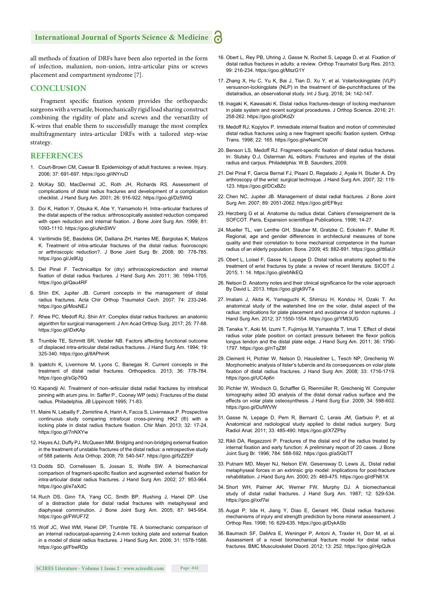all methods of fixation of DRFs have been also reported in the form of infection, malunion, non-union, intra-articular pins or screws placement and compartment syndrome [7].

#### **CONCLUSION**

Fragment specific fixation system provides the orthopaedic surgeons with a versatile, biomechanically rigid load sharing construct combining the rigidity of plate and screws and the versatility of K-wires that enable them to successfully manage the most complex multifragmentary intra-articular DRFs with a tailored step-wise strategy.

### **REFERENCES**

- 1. Court-Brown CM, Caesar B. Epidemiology of adult fractures: a review. Injury. 2006; 37: 691-697. https://goo.gl/iNYruD
- 2. McKay SD, MacDermid JC, Roth JH, Richards RS. Assessment of complications of distal radius fractures and development of a complication checklist. J Hand Surg Am. 2001; 26: 916-922. https://goo.gl/Dz5WiQ
- 3. Doi K, Hattori Y, Otsuka K, Abe Y, Yamamoto H. Intra–articular fractures of the distal aspects of the radius: arthroscopically assisted reduction compared with open reduction and internal fixation. J Bone Joint Surg Am. 1999; 81: 1093-1110. https://goo.gl/uNnSWV
- 4. Varitimidis SE, Basdekis GK, Dailiana ZH, Hantes ME, Bargiotas K, Malizos K. Treatment of intra-articular fractures of the distal radius: fluoroscopic or arthroscopic reduction?. J Bone Joint Surg Br. 2008; 90: 778-785. https://goo.gl/Js9fJg
- 5. Del Pinal F. Technicaltips for (dry) arthroscopicreduction and internal fixation of distal radius fractures. J Hand Surg Am. 2011; 36: 1694-1705. https://goo.gl/Qau4RF
- 6. Shin EK, Jupiter JB. Current concepts in the management of distal radius fractures. Acta Chir Orthop Traumatol Cech. 2007; 74: 233-246. https://goo.gl/MosNEJ
- 7. Rhee PC, Medoff RJ, Shin AY. Complex distal radius fractures: an anatomic algorithm for surgical management. J Am Acad Orthop Surg. 2017; 25: 77-88. https://goo.gl/iDxKAp
- 8. Trumble TE, Schmitt SR, Vedder NB. Factors affecting functional outcome of displaced intra-articular distal radius fractures. J Hand Surg Am. 1994; 19: 325-340. https://goo.gl/8APhmK
- 9. Ipaktchi K, Livermore M, Lyons C, Banegas R. Current concepts in the treatment of distal radial fractures. Orthopedics. 2013; 36: 778-784. https://goo.gl/sGp76Q
- 10. Kapandji AI. Treatment of non–articular distal radial fractures by intrafocal pinning with arum pins. In: Saffer P., Cooney WP (eds): Fractures of the distal radius. Philadelphia, JB Lippincott 1995; 71-83.
- 11. Maire N, Lebailly F, Zemirline A, Hariri A, Facca S, Liverneaux P. Prospective continuous study comparing intrafocal cross-pinning HK2 (®) with a locking plate in distal radius fracture fixation. Chir Main. 2013; 32: 17-24. https://goo.gl/7nNXYw
- 12. Hayes AJ, Duffy PJ, McQueen MM. Bridging and non-bridging external fixation in the treatment of unstable fractures of the distal radius: a retrospective study of 588 patients. Acta Orthop. 2008; 79: 540-547. https://goo.gl/fzZZEF
- 13. Dodds SD, Cornelissen S, Jossan S, Wolfe SW. A biomechanical comparison of fragment-specific fixation and augmented external fixation for intra-articular distal radius fractures. J Hand Surg Am. 2002; 27: 953-964. https://goo.gl/e7aXdC
- 14. Ruch DS, Ginn TA, Yang CC, Smith BP, Rushing J, Hanel DP. Use of a distraction plate for distal radial fractures with metaphyseal and diaphyseal comminution. J Bone Joint Surg Am. 2005; 87: 945-954. https://goo.gl/FWUF7Z
- 15. Wolf JC, Weil WM, Hanel DP, Trumble TE. A biomechanic comparison of an internal radiocarpal-spanning 2.4-mm locking plate and external fixation in a model of distal radius fractures. J Hand Surg Am. 2006; 31: 1578-1586. https://goo.gl/FbwRDp
- 16. Obert L, Rey PB, Uhring J, Gasse N, Rochet S, Lepage D, et al. Fixation of distal radius fractures in adults: a review. Orthop Traumatol Surg Res. 2013; 99: 216-234. https://goo.gl/MszG1Y
- 17. Zhang X, Hu C, Yu K, Bai J, Tian D, Xu Y, et al. Volarlockingplate (VLP) versusnon-lockingplate (NLP) in the treatment of die-punchfractures of the distalradius, an observational study. Int J Surg. 2016; 34: 142-147.
- 18. Inagaki K, Kawasaki K. Distal radius fractures-design of locking mechanism in plate system and recent surgical procedures. J Orthop Science. 2016; 21: 258-262. https://goo.gl/oDKdZr
- 19. Medoff RJ, Kopylov P. Immediate internal fixation and motion of comminuted distal radius fractures using a new fragment specific fixation system. Orthop Trans. 1998; 22: 165. https://goo.gl/wNamCW
- 20. Benson LS, Medoff RJ. Fragment-specific fixation of distal radius fractures. In: Slutsky D.J, Osterman AL editors. Fractures and injuries of the distal radius and carpus. Philadelphia: W.B. Saunders; 2009.
- 21. Del Pinal F, Garcia Bernal FJ, Pisani D, Regalado J, Ayala H, Studer A. Dry arthroscopy of the wrist: surgical technique. J Hand Surg Am. 2007; 32: 119- 123. https://goo.gl/DCxBZc
- 22. Chen NC, Jupiter JB. Management of distal radial fractures. J Bone Joint Surg Am. 2007; 89: 2051-2062. https://goo.gl/EFtkyz
- 23. Herzberg G et al. Anatomie du radius distal. Cahiers d'enseignement de la SOFCOT. Paris, Expansion scientifique Publications. 1998; 14-27.
- 24. Mueller TL, van Lenthe GH, Stauber M, Gratzke C, Eckstein F, Muller R. Regional, age and gender differences in architectural measures of bone quality and their correlation to bone mechanical competence in the human radius of an elderly population. Bone. 2009; 45: 882-891. https://goo.gl/tt6aUr
- 25. Obert L, Loisel F, Gasse N, Lepage D. Distal radius anatomy applied to the treatment of wrist fractures by plate: a review of recent literature. SICOT J. 2015; 1: 14. https://goo.gl/ebNkEQ
- 26. Nelson D. Anatomy notes and their clinical significance for the volar approach By David L. 2013. https://goo.gl/gk9VTa
- 27. Imatani J, Akita K, Yamaguchi K, Shimizu H, Kondou H, Ozaki T. An anatomical study of the watershed line on the volar, distal aspect of the radius: implications for plate placement and avoidance of tendon ruptures. J Hand Surg Am. 2012; 37:1550-1554. https://goo.gl/YMt3UG
- 28. Tanaka Y, Aoki M, Izumi T, Fujimiya M, Yamashita T, Imai T. Effect of distal radius volar plate position on contact pressure between the flexor pollicis longus tendon and the distal plate edge. J Hand Surg Am. 2011; 36: 1790- 1797. https://goo.gl/nTqZ8f
- 29. Clement H, Pichler W, Nelson D, Hausleitner L, Tesch NP, Grechenig W. Morphometric analysis of lister's tubercle and its consequences on volar plate fixation of distal radius fractures. J Hand Surg Am. 2008; 33: 1716-1719. https://goo.gl/UC4p6n
- 30. Pichler W, Windisch G, Schaffler G, Rienmüller R, Grechenig W. Computer tomography aided 3D analysis of the distal dorsal radius surface and the effects on volar plate osteosynthesis. J Hand Surg Eur. 2009; 34: 598-602. https://goo.gl/DufWVW
- 31. Gasse N, Lepage D, Pem R, Bernard C, Lerais JM, Garbuio P, et al. Anatomical and radiological study applied to distal radius surgery. Surg Radiol Anat. 2011; 33: 485-490. https://goo.gl/X7ZPby
- 32. Rikli DA, Regazzoni P. Fractures of the distal end of the radius treated by internal fixation and early function: A preliminary report of 20 cases. J Bone Joint Surg Br. 1996; 784: 588-592. https://goo.gl/aSGbTT
- 33. Putnam MD, Meyer NJ, Nelson EW, Gesensway D, Lewis JL. Distal radial metaphyseal forces in an extrinsic grip model: implications for post-fracture rehabilitation. J Hand Surg Am. 2000; 25: 469-475. https://goo.gl/dFN61X
- 34. Short WH, Palmer AK, Werner FW, Murphy DJ. A biomechanical study of distal radial fractures. J Hand Surg Am. 1987; 12: 529-534. https://goo.gl/xxf7ei
- 35. Augat P, Iida H, Jiang Y, Diao E, Genant HK. Distal radius fractures: mechanisms of injury and strength prediction by bone mineral assessment. J Orthop Res. 1998; 16: 629-635. https://goo.gl/DykASb
- 36. Baumach SF, DallAra E, Weninger P, Antoni A, Traxler H, Dorr M, et al. Assessment of a novel biomechanical fracture model for distal radius fractures. BMC Musculoskelet Disord. 2012; 13: 252. https://goo.gl/r4pQJk